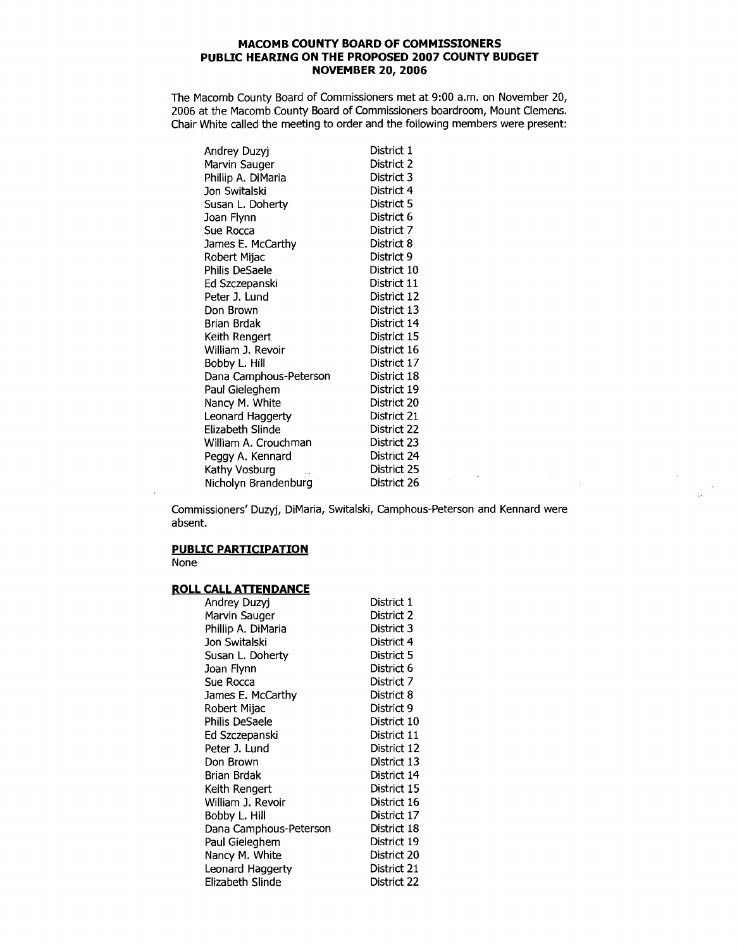## **MACOMB COUNTY BOARD OF COMMISSIONERS PUBLIC HEARING ON THE PROPOSED 2007 COUNTY BUDGET NOVEMBER 20, 2006**

The Macomb County Board of Commissioners met at 9:00 a.m. on November 20, 2006 at the Macomb County Board of Commissioners boardroom, Mount Clemens. Chair White called the meeting to order and the following members were present:

| Andrey Duzyj           | District 1  |
|------------------------|-------------|
| Marvin Sauger          | District 2  |
| Phillip A. DiMaria     | District 3  |
| Jon Switalski          | District 4  |
| Susan L. Doherty       | District 5  |
| Joan Flynn             | District 6  |
| Sue Rocca              | District 7  |
| James E. McCarthy      | District 8  |
| Robert Mijac           | District 9  |
| Philis DeSaele         | District 10 |
| Ed Szczepanski         | District 11 |
| Peter J. Lund          | District 12 |
| Don Brown              | District 13 |
| Brian Brdak            | District 14 |
| Keith Rengert          | District 15 |
| William J. Revoir      | District 16 |
| Bobby L. Hill          | District 17 |
| Dana Camphous-Peterson | District 18 |
| Paul Gieleghem         | District 19 |
| Nancy M. White         | District 20 |
| Leonard Haggerty       | District 21 |
| Elizabeth Slinde       | District 22 |
| William A. Crouchman   | District 23 |
| Peggy A. Kennard       | District 24 |
| Kathy Vosburg          | District 25 |
| Nicholyn Brandenburg   | District 26 |

Commissioners' Duzyj, DiMaria, Switalski, Camphous-Peterson and Kennard were absent.

 $\mathcal{L}_{\text{max}}$  , where  $\mathcal{L}_{\text{max}}$ 

 $\bar{\omega}$ 

÷.

## **PUBLIC PARTICIPATION**

None

 $\overline{\phantom{a}}$ 

## **ROLL CALL ATTENDANCE**

| Andrey Duzyi           | District 1  |
|------------------------|-------------|
| Marvin Sauger          | District 2  |
| Phillip A. DiMaria     | District 3  |
| Jon Switalski          | District 4  |
| Susan L. Doherty       | District 5  |
| Joan Flynn             | District 6  |
| Sue Rocca              | District 7  |
| James E. McCarthy      | District 8  |
| Robert Mijac           | District 9  |
| Philis DeSaele         | District 10 |
| Ed Szczepanski         | District 11 |
| Peter J. Lund          | District 12 |
| Don Brown              | District 13 |
| Brian Brdak            | District 14 |
| Keith Rengert          | District 15 |
| William J. Revoir      | District 16 |
| Bobby L. Hill          | District 17 |
| Dana Camphous-Peterson | District 18 |
| Paul Gieleghem         | District 19 |
| Nancy M. White         | District 20 |
| Leonard Haggerty       | District 21 |
| Elizabeth Slinde       | District 22 |